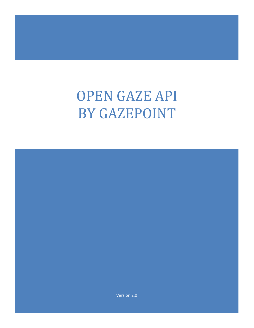# OPEN GAZE API BY GAZEPOINT

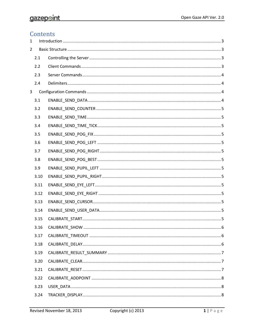# Contents

| 1              |      |  |  |
|----------------|------|--|--|
| $\overline{2}$ |      |  |  |
|                | 2.1  |  |  |
|                | 2.2  |  |  |
|                | 2.3  |  |  |
|                | 2.4  |  |  |
| 3              |      |  |  |
|                | 3.1  |  |  |
|                | 3.2  |  |  |
|                | 3.3  |  |  |
|                | 3.4  |  |  |
|                | 3.5  |  |  |
|                | 3.6  |  |  |
|                | 3.7  |  |  |
|                | 3.8  |  |  |
|                | 3.9  |  |  |
|                | 3.10 |  |  |
|                | 3.11 |  |  |
|                | 3.12 |  |  |
|                | 3.13 |  |  |
|                | 3.14 |  |  |
|                | 3.15 |  |  |
|                | 3.16 |  |  |
|                | 3.17 |  |  |
|                | 3.18 |  |  |
|                | 3.19 |  |  |
|                | 3.20 |  |  |
|                | 3.21 |  |  |
|                | 3.22 |  |  |
|                | 3.23 |  |  |
|                | 3.24 |  |  |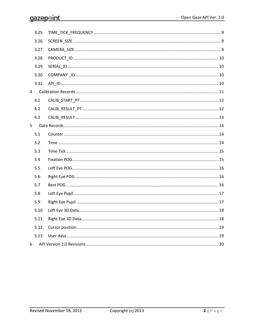|   | 3.25 |  |
|---|------|--|
|   | 3.26 |  |
|   | 3.27 |  |
|   | 3.28 |  |
|   | 3.29 |  |
|   | 3.30 |  |
|   | 3.31 |  |
| 4 |      |  |
|   | 4.1  |  |
|   | 4.2  |  |
|   | 4.3  |  |
| 5 |      |  |
|   | 5.1  |  |
|   | 5.2  |  |
|   | 5.3  |  |
|   | 5.4  |  |
|   | 5.5  |  |
|   | 5.6  |  |
|   | 5.7  |  |
|   | 5.8  |  |
|   | 5.9  |  |
|   | 5.10 |  |
|   | 5.11 |  |
|   | 5.12 |  |
|   | 5.13 |  |
| 6 |      |  |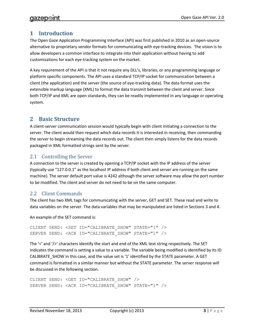# <span id="page-3-0"></span>**1 Introduction**

The Open Gaze Application Programming Interface (API) was first published in 2010 as an open-source alternative to proprietary vendor formats for communicating with eye-tracking devices. The vision is to allow developers a common interface to integrate into their application without having to add customizations for each eye-tracking system on the market.

A key requirement of the API is that it not require any DLL's, libraries, or any programming language or platform specific components. The API uses a standard TCP/IP socket for communication between a client (the application) and the server (the source of eye-tracking data). The data format uses the extensible markup language (XML) to format the data transmit between the client and server. Since both TCP/IP and XML are open standards, they can be readily implemented in any language or operating system.

# <span id="page-3-1"></span>**2 Basic Structure**

A client-server communication session would typically begin with client initiating a connection to the server. The client would then request which data records it is interested in receiving, then commanding the server to begin streaming the data records out. The client then simply listens for the data records packaged in XML formatted strings sent by the server.

# <span id="page-3-2"></span>2.1 Controlling the Server

A connection to the server is created by opening a TCP/IP socket with the IP address of the server (typically use "127.0.0.1" as the localhost IP address if both client and server are running on the same machine). The server default port value is 4242 although the server software may allow the port number to be modified. The client and server do not need to be on the same computer.

# <span id="page-3-3"></span>2.2 Client Commands

The client has two XML tags for communicating with the server, GET and SET. These read and write to data variables on the server. The data variables that may be manipulated are listed in Sections [3](#page-4-2) and 4.

An example of the SET command is:

```
CLIENT SEND: <SET ID="CALIBRATE SHOW" STATE="1" />
SERVER SEND: <ACK ID="CALIBRATE SHOW" STATE="1" />
```
The '<' and '/>' characters identify the start and end of the XML text string respectively. The SET indicates the command is setting a value to a variable. The variable being modified is identified by its ID CALIBRATE\_SHOW in this case, and the value set is '1' identified by the STATE parameter. A GET command is formatted in a similar manner but without the STATE parameter. The server response will be discussed in the following section.

```
CLIENT SEND: <GET ID="CALIBRATE_SHOW" />
SERVER SEND: <ACK ID="CALIBRATE SHOW" STATE="1" />
```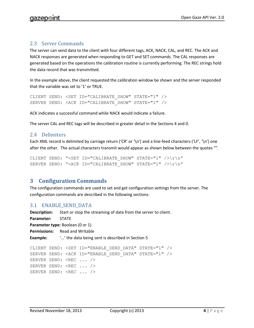## <span id="page-4-0"></span>2.3 Server Commands

The server can send data to the client with four different tags, ACK, NACK, CAL, and REC. The ACK and NACK responses are generated when responding to GET and SET commands. The CAL responses are generated based on the operations the calibration routine is currently performing. The REC strings hold the data record that was transmitted.

In the example above, the client requested the calibration window be shown and the server responded that the variable was set to '1' or TRUE.

```
CLIENT SEND: <SET ID="CALIBRATE SHOW" STATE="1" />
SERVER SEND: <ACK ID="CALIBRATE SHOW" STATE="1" />
```
ACK indicates a successful command while NACK would indicate a failure.

The server CAL and REC tags will be described in greater detail in the Sections [4](#page-11-0) an[d 0.](#page-13-1)

#### <span id="page-4-1"></span>2.4 Delimiters

Each XML record is delimited by carriage return ('CR' or '\n') and a line-feed characters ('LF', '\n') one after the other. The actual characters transmit would appear as shown below between the quotes "".

```
CLIENT SEND: "<SET ID="CALIBRATE SHOW" STATE="1" />\r\n"
SERVER SEND: "<ACK ID="CALIBRATE SHOW" STATE="1" /\rangle\gamma\gamma\gamma''
```
# <span id="page-4-2"></span>**3 Configuration Commands**

The configuration commands are used to set and get configuration settings from the server. The configuration commands are described in the following sections.

#### <span id="page-4-3"></span>3.1 ENABLE\_SEND\_DATA

```
Description: Start or stop the streaming of data from the server to client.
Parameter: STATE
Parameter type: Boolean (0 or 1)
Permissions: Read and Writable
Example: 5
CLIENT SEND: <SET ID="ENABLE_SEND_DATA" STATE="1" />
SERVER SEND: <ACK ID="ENABLE SEND DATA" STATE="1" />
SERVER SEND: <REC ... />
SERVER SEND: <REC ... />
SERVER SEND: <REC ... />
```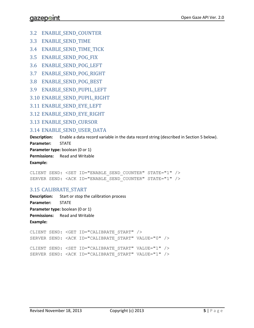- <span id="page-5-0"></span>3.2 ENABLE\_SEND\_COUNTER
- <span id="page-5-1"></span>3.3 ENABLE SEND TIME
- <span id="page-5-2"></span>3.4 ENABLE\_SEND\_TIME\_TICK
- <span id="page-5-3"></span>3.5 ENABLE\_SEND\_POG\_FIX
- <span id="page-5-4"></span>3.6 ENABLE\_SEND\_POG\_LEFT
- <span id="page-5-5"></span>3.7 ENABLE\_SEND\_POG\_RIGHT
- <span id="page-5-6"></span>3.8 ENABLE\_SEND\_POG\_BEST
- <span id="page-5-7"></span>3.9 ENABLE\_SEND\_PUPIL\_LEFT
- <span id="page-5-8"></span>3.10 ENABLE\_SEND\_PUPIL\_RIGHT
- <span id="page-5-9"></span>3.11 ENABLE\_SEND\_EYE\_LEFT
- <span id="page-5-10"></span>3.12 ENABLE SEND EYE RIGHT
- <span id="page-5-11"></span>3.13 ENABLE\_SEND\_CURSOR

### <span id="page-5-12"></span>3.14 ENABLE\_SEND\_USER\_DATA

**Description:** Enable a data record variable in the data record string (described in Section [5](#page-14-0) below). **Parameter:** STATE

**Parameter type:** boolean (0 or 1)

**Permissions:** Read and Writable

**Example:**

CLIENT SEND: <SET ID="ENABLE\_SEND\_COUNTER" STATE="1" /> SERVER SEND: <ACK ID="ENABLE SEND COUNTER" STATE="1" />

# <span id="page-5-13"></span>3.15 CALIBRATE\_START

**Description:** Start or stop the calibration process **Parameter:** STATE **Parameter type:** boolean (0 or 1) **Permissions:** Read and Writable **Example:** CLIENT SEND: <GET ID="CALIBRATE\_START" /> SERVER SEND: <ACK ID="CALIBRATE\_START" VALUE="0" /> CLIENT SEND: <SET ID="CALIBRATE\_START" VALUE="1" /> SERVER SEND: <ACK ID="CALIBRATE\_START" VALUE="1" />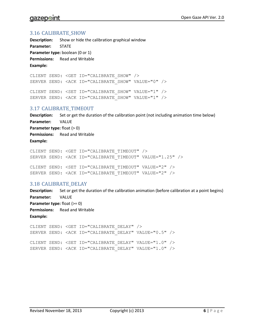# qazepoin

#### <span id="page-6-0"></span>3.16 CALIBRATE\_SHOW

**Description:** Show or hide the calibration graphical window **Parameter:** STATE **Parameter type:** boolean (0 or 1) **Permissions:** Read and Writable **Example:**

CLIENT SEND: <GET ID="CALIBRATE\_SHOW" /> SERVER SEND: <ACK ID="CALIBRATE SHOW" VALUE="0" /> CLIENT SEND: <SET ID="CALIBRATE SHOW" VALUE="1" /> SERVER SEND: <ACK ID="CALIBRATE SHOW" VALUE="1" />

#### <span id="page-6-1"></span>3.17 CALIBRATE\_TIMEOUT

**Description:** Set or get the duration of the calibration point (not including animation time below) **Parameter:** VALUE **Parameter type:** float (> 0) **Permissions:** Read and Writable **Example:**

CLIENT SEND: <GET ID="CALIBRATE\_TIMEOUT" /> SERVER SEND: <ACK ID="CALIBRATE\_TIMEOUT" VALUE="1.25" /> CLIENT SEND: <SET ID="CALIBRATE\_TIMEOUT" VALUE="2" /> SERVER SEND: <ACK ID="CALIBRATE\_TIMEOUT" VALUE="2" />

#### <span id="page-6-2"></span>3.18 CALIBRATE\_DELAY

**Description:** Set or get the duration of the calibration animation (before calibration at a point begins) **Parameter:** VALUE **Parameter type:** float (>= 0) **Permissions:** Read and Writable **Example:**

```
CLIENT SEND: <GET ID="CALIBRATE_DELAY" />
SERVER SEND: <ACK ID="CALIBRATE DELAY" VALUE="0.5" />
CLIENT SEND: <SET ID="CALIBRATE_DELAY" VALUE="1.0" />
SERVER SEND: <ACK ID="CALIBRATE DELAY" VALUE="1.0" />
```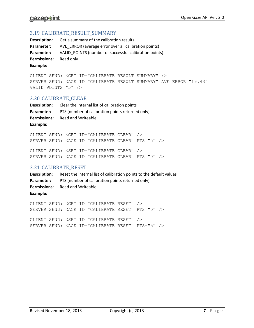#### <span id="page-7-0"></span>3.19 CALIBRATE\_RESULT\_SUMMARY

**Description:** Get a summary of the calibration results **Parameter:** AVE\_ERROR (average error over all calibration points) Parameter: VALID\_POINTS (number of successful calibration points) **Permissions:** Read only **Example:**

```
CLIENT SEND: <GET ID="CALIBRATE_RESULT_SUMMARY" />
SERVER SEND: <ACK ID="CALIBRATE_RESULT_SUMMARY" AVE_ERROR="19.43" 
VALID_POINTS="5" />
```
#### <span id="page-7-1"></span>3.20 CALIBRATE\_CLEAR

| Description:        | Clear the internal list of calibration points    |
|---------------------|--------------------------------------------------|
| Parameter:          | PTS (number of calibration points returned only) |
| <b>Permissions:</b> | Read and Writeable                               |
| Example:            |                                                  |

```
CLIENT SEND: <GET ID="CALIBRATE_CLEAR" />
SERVER SEND: <ACK ID="CALIBRATE_CLEAR" PTS="5" />
```

```
CLIENT SEND: <SET ID="CALIBRATE_CLEAR" />
SERVER SEND: <ACK ID="CALIBRATE_CLEAR" PTS="0" />
```
#### <span id="page-7-2"></span>3.21 CALIBRATE\_RESET

| Description: | Reset the internal list of calibration points to the default values |
|--------------|---------------------------------------------------------------------|
|              | <b>Parameter:</b> PTS (number of calibration points returned only)  |
|              | <b>Permissions:</b> Read and Writeable                              |
| Example:     |                                                                     |

```
CLIENT SEND: <GET ID="CALIBRATE_RESET" />
SERVER SEND: <ACK ID="CALIBRATE RESET" PTS="0" />
CLIENT SEND: <SET ID="CALIBRATE_RESET" />
SERVER SEND: <ACK ID="CALIBRATE RESET" PTS="5" />
```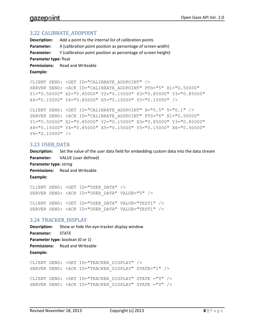#### <span id="page-8-0"></span>3.22 CALIBRATE\_ADDPOINT

**Description:** Add a point to the internal list of calibration points **Parameter:** X (calibration point position as percentage of screen width) **Parameter:** Y (calibration point position as percentage of screen height) **Parameter type:** float Permissions: Read and Writeable **Example:** CLIENT SEND: <GET ID="CALIBRATE\_ADDPOINT" /> SERVER SEND: <ACK ID="CALIBRATE\_ADDPOINT" PTS="5" X1="0.50000" Y1="0.50000" X2="0.85000" Y2="0.15000" X3="0.85000" Y3="0.85000" X4="0.15000" Y4="0.85000" X5="0.15000" Y5="0.15000" /> CLIENT SEND: <SET ID="CALIBRATE\_ADDPOINT" X="0.5" Y="0.1" /> SERVER SEND: <ACK ID="CALIBRATE\_ADDPOINT" PTS="6" X1="0.50000" Y1="0.50000" X2="0.85000" Y2="0.15000" X3="0.85000" Y3="0.85000"

# X4="0.15000" Y4="0.85000" X5="0.15000" Y5="0.15000" X6="0.50000" Y6="0.10000" />

#### <span id="page-8-1"></span>3.23 USER\_DATA

**Description:** Set the value of the user data field for embedding custom data into the data stream **Parameter:** VALUE (user defined) **Parameter type:** string Permissions: Read and Writeable **Example:**

CLIENT SEND: <GET ID="USER\_DATA" /> SERVER SEND: <ACK ID="USER\_DATA" VALUE="0" /> CLIENT SEND: <SET ID="USER\_DATA" VALUE="TEST1" /> SERVER SEND: <ACK ID="USER\_DATA" VALUE="TEST1" />

#### <span id="page-8-2"></span>3.24 TRACKER\_DISPLAY

**Description:** Show or hide the eye-tracker display window **Parameter:** STATE **Parameter type:** boolean (0 or 1) **Permissions:** Read and Writeable **Example:**

```
CLIENT SEND: <GET ID="TRACKER_DISPLAY" />
SERVER SEND: <ACK ID="TRACKER_DISPLAY" STATE="1" />
CLIENT SEND: <SET ID="TRACKER_DISPLAY" STATE ="0" />
SERVER SEND: <ACK ID="TRACKER_DISPLAY" STATE ="0" />
```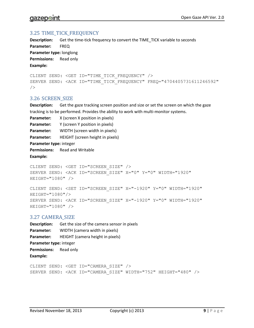#### <span id="page-9-0"></span>3.25 TIME\_TICK\_FREQUENCY

**Description:** Get the time-tick frequency to convert the TIME\_TICK variable to seconds **Parameter:** FREQ **Parameter type:** longlong **Permissions:** Read only **Example:**

```
CLIENT SEND: <GET ID="TIME_TICK_FREQUENCY" />
SERVER SEND: <ACK ID="TIME TICK FREQUENCY" FREQ="4704405731611246592"
/
```
#### <span id="page-9-1"></span>3.26 SCREEN\_SIZE

**Description:** Get the gaze tracking screen position and size or set the screen on which the gaze tracking is to be performed. Provides the ability to work with multi-monitor systems.

**Parameter:** X (screen X position in pixels) **Parameter:** Y (screen Y position in pixels) **Parameter:** WIDTH (screen width in pixels) **Parameter:** HEIGHT (screen height in pixels) **Parameter type:** integer **Permissions:** Read and Writable **Example:**

CLIENT SEND: <GET ID="SCREEN\_SIZE" /> SERVER SEND: <ACK ID="SCREEN\_SIZE" X="0" Y="0" WIDTH="1920" HEIGHT="1080" />

CLIENT SEND: <SET ID="SCREEN\_SIZE" X="-1920" Y="0" WIDTH="1920" HEIGHT="1080"/> SERVER SEND: <ACK ID="SCREEN\_SIZE" X="-1920" Y="0" WIDTH="1920" HEIGHT="1080" />

#### <span id="page-9-2"></span>3.27 CAMERA\_SIZE

**Description:** Get the size of the camera sensor in pixels **Parameter:** WIDTH (camera width in pixels) **Parameter:** HEIGHT (camera height in pixels) **Parameter type:** integer **Permissions:** Read only **Example:**

CLIENT SEND: <GET ID="CAMERA\_SIZE" /> SERVER SEND: <ACK ID="CAMERA\_SIZE" WIDTH="752" HEIGHT="480" />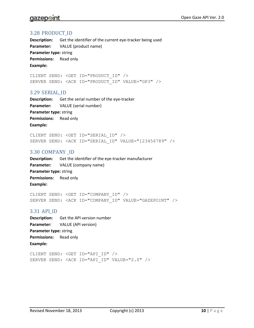#### <span id="page-10-0"></span>3.28 PRODUCT\_ID

**Description:** Get the identifier of the current eye-tracker being used **Parameter:** VALUE (product name) **Parameter type:** string **Permissions:** Read only **Example:**

CLIENT SEND: <GET ID="PRODUCT\_ID" /> SERVER SEND: <ACK ID="PRODUCT\_ID" VALUE="GP3" />

#### <span id="page-10-1"></span>3.29 SERIAL\_ID

**Description:** Get the serial number of the eye-tracker **Parameter:** VALUE (serial number) **Parameter type:** string **Permissions:** Read only **Example:**

CLIENT SEND: <GET ID="SERIAL\_ID" /> SERVER SEND: <ACK ID="SERIAL\_ID" VALUE="123456789" />

#### <span id="page-10-2"></span>3.30 COMPANY \_ID

**Description:** Get the identifier of the eye-tracker manufacturer **Parameter:** VALUE (company name) **Parameter type:** string **Permissions:** Read only **Example:**

CLIENT SEND: <GET ID="COMPANY\_ID" /> SERVER SEND: <ACK ID="COMPANY\_ID" VALUE="GAZEPOINT" />

#### <span id="page-10-3"></span>3.31 API\_ID

**Description:** Get the API version number **Parameter:** VALUE (API version) **Parameter type:** string **Permissions:** Read only **Example:**

CLIENT SEND: <GET ID="API\_ID" /> SERVER SEND: <ACK ID="API ID" VALUE="2.0" />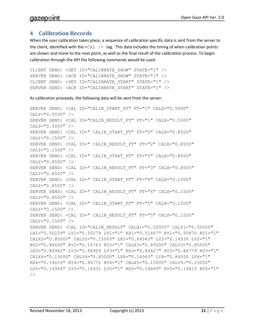# <span id="page-11-0"></span>**4 Calibration Records**

When the user calibration takes place, a sequence of calibration specific data is sent from the server to the client, identified with the  $\text{cAL }$  /> tag. This data includes the timing of when calibration points are shown and move to the next point, as well as the final result of the calibration process. To begin calibration through the API the following commands would be used:

```
CLIENT SEND: <SET ID="CALIBRATE SHOW" STATE="1" />
SERVER SEND: <ACK ID="CALIBRATE SHOW" STATE="1" />
CLIENT SEND: <SET ID="CALIBRATE START" STATE="1" />
SERVER SEND: <ACK ID="CALIBRATE START" STATE="1" />
```
As calibration proceeds, the following data will be sent from the server:

```
SERVER SEND: <CAL ID="CALIB_START_PT" PT="1" CALX="0.5000" 
CALY="0.5000" />
SERVER SEND: <CAL ID="CALIB_RESULT_PT" PT="1" CALX="0.5000" 
CALY="0.5000" />
SERVER SEND: <CAL ID=" CALIB_START_PT" PT="2" CALX="0.8500" 
CALY="0.1500" />
SERVER SEND: <CAL ID=" CALIB_RESULT_PT" PT="2" CALX="0.8500" 
CALY="0.1500" />
SERVER SEND: <CAL ID=" CALIB_START_PT" PT="3" CALX="0.8500" 
CALY="0.8500" />
SERVER SEND: <CAL ID=" CALIB_RESULT_PT" PT="3" CALX="0.8500" 
CALY="0.8500" />
SERVER SEND: <CAL ID=" CALIB_START_PT" PT="4" CALX="0.1500" 
CALY="0.8500" />
SERVER SEND: <CAL ID=" CALIB_RESULT_PT" PT="4" CALX="0.1500" 
CALY="0.8500" />
SERVER SEND: <CAL ID=" CALIB_START_PT" PT="5" CALX="0.1500" 
CALY="0.1500" />
SERVER SEND: <CAL ID=" CALIB_RESULT_PT" PT="5" CALX="0.1500" 
CALY="0.1500" />
SERVER SEND: <CAL ID="CALIB_RESULT" CALX1="0.50000" CALY1="0.50000" 
LX1="0.50229" LY1="0.50279 LV1="1" RX1="0.51467" RY1="0.50870 RV1="1" 
CALX2="0.85000" CALY2="0.15000" LX2="0.84943" LY2="0.14930 LV2="1" 
RX2="0.84600" RY2="0.14763 RV2="1" CALX3="0.85000" CALY3="0.85000" 
LX3="0.84942" LY3="0.84929 LV3="1" RX3="0.84627" RY3="0.84779 RV3="1" 
CALX4="0.15000" CALY4="0.85000" LX4="0.14943" LY4="0.84930 LV4="1" 
RX4="0.14616" RY4="0.84772 RV4="1" CALX5="0.15000" CALY5="0.15000" 
LX5="0.14944" LY5="0.14931 LV5="1" RX5="0.14689" RY5="0.14815 RV5="1" 
/>
```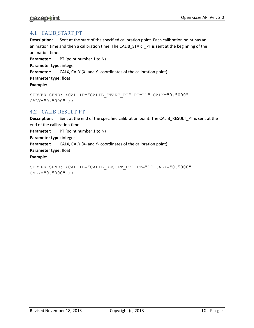### <span id="page-12-0"></span>4.1 CALIB\_START\_PT

**Description:** Sent at the start of the specified calibration point. Each calibration point has an animation time and then a calibration time. The CALIB\_START\_PT is sent at the beginning of the animation time.

**Parameter:** PT (point number 1 to N) **Parameter type:** integer **Parameter:** CALX, CALY (X- and Y- coordinates of the calibration point) **Parameter type:** float **Example:**

```
SERVER SEND: <CAL ID="CALIB_START_PT" PT="1" CALX="0.5000" 
CALY="0.5000" />
```
#### <span id="page-12-1"></span>4.2 CALIB\_RESULT\_PT

**Description:** Sent at the end of the specified calibration point. The CALIB\_RESULT\_PT is sent at the end of the calibration time. **Parameter:** PT (point number 1 to N) **Parameter type:** integer **Parameter:** CALX, CALY (X- and Y- coordinates of the calibration point) **Parameter type:** float **Example:**

SERVER SEND: <CAL ID="CALIB RESULT PT" PT="1" CALX="0.5000" CALY="0.5000" />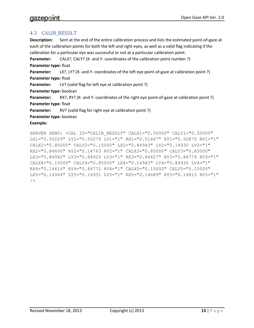#### <span id="page-13-0"></span>4.3 CALIB\_RESULT

**Description:** Sent at the end of the entire calibration process and lists the estimated point-of-gaze at each of the calibration points for both the left and right eyes, as well as a valid flag indicating if the calibration for a particular eye was successful or not at a particular calibration point.

**Parameter:** CALX?, CALY? (X- and Y- coordinates of the calibration point number ?)

#### **Parameter type:** float

**Parameter:** LX?, LY? (X- and Y- coordinates of the left eye point-of-gaze at calibration point ?) **Parameter type:** float

**Parameter:** LV? (valid flag for left eye at calibration point ?)

**Parameter type:** boolean

**Parameter:** RX?, RY? (X- and Y- coordinates of the right eye point-of-gaze at calibration point ?) **Parameter type:** float

**Parameter:** RV? (valid flag for right eye at calibration point ?)

**Parameter type:** boolean

**Example:**

<span id="page-13-1"></span>SERVER SEND: <CAL ID="CALIB\_RESULT" CALX1="0.50000" CALY1="0.50000" LX1="0.50229" LY1="0.50279 LV1="1" RX1="0.51467" RY1="0.50870 RV1="1" CALX2="0.85000" CALY2="0.15000" LX2="0.84943" LY2="0.14930 LV2="1" RX2="0.84600" RY2="0.14763 RV2="1" CALX3="0.85000" CALY3="0.85000" LX3="0.84942" LY3="0.84929 LV3="1" RX3="0.84627" RY3="0.84779 RV3="1" CALX4="0.15000" CALY4="0.85000" LX4="0.14943" LY4="0.84930 LV4="1" RX4="0.14616" RY4="0.84772 RV4="1" CALX5="0.15000" CALY5="0.15000" LX5="0.14944" LY5="0.14931 LV5="1" RX5="0.14689" RY5="0.14815 RV5="1"  $/$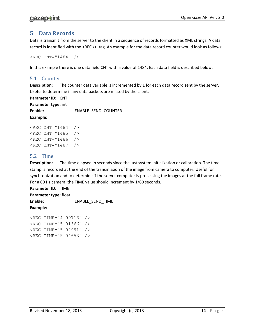# <span id="page-14-0"></span>**5 Data Records**

Data is transmit from the server to the client in a sequence of records formatted as XML strings. A data record is identified with the <REC /> tag. An example for the data record counter would look as follows:

```
REC CNT="1484" />
```
In this example there is one data field CNT with a value of 1484. Each data field is described below.

#### <span id="page-14-1"></span>5.1 Counter

**Description:** The counter data variable is incremented by 1 for each data record sent by the server. Useful to determine if any data packets are missed by the client.

**Parameter ID:** CNT **Parameter type:** int **Enable:** ENABLE\_SEND\_COUNTER **Example:**

```
REC CNT="1484" />
<REC CNT="1485" />
<REC CNT="1486" />
<REC CNT="1487" />
```
#### <span id="page-14-2"></span>5.2 Time

**Description:** The time elapsed in seconds since the last system initialization or calibration. The time stamp is recorded at the end of the transmission of the image from camera to computer. Useful for synchronization and to determine if the server computer is processing the images at the full frame rate. For a 60 Hz camera, the TIME value should increment by 1/60 seconds.

**Parameter ID:** TIME **Parameter type:** float **Enable:** ENABLE\_SEND\_TIME

**Example:**

<REC TIME="4.99716" /> <REC TIME="5.01366" /> <REC TIME="5.02991" /> <REC TIME="5.04653" />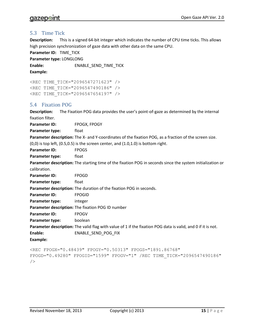#### <span id="page-15-0"></span>5.3 Time Tick

**Description:** This is a signed 64-bit integer which indicates the number of CPU time ticks. This allows high precision synchronization of gaze data with other data on the same CPU.

**Parameter ID:** TIME\_TICK

**Parameter type:** LONGLONG

**Enable:** ENABLE\_SEND\_TIME\_TICK

```
Example:
```
<REC TIME\_TICK="2096547271623" /> <REC TIME\_TICK="2096547490186" /> <REC TIME\_TICK="2096547654197" />

#### <span id="page-15-1"></span>5.4 Fixation POG

**Description:** The Fixation POG data provides the user's point-of-gaze as determined by the internal fixation filter.

**Parameter ID:** FPOGX, FPOGY

**Parameter type:** float

**Parameter description:** The X- and Y-coordinates of the fixation POG, as a fraction of the screen size.  $(0,0)$  is top left,  $(0.5,0.5)$  is the screen center, and  $(1.0,1.0)$  is bottom right.

**Parameter ID:** FPOGS

**Parameter type:** float

**Parameter description:** The starting time of the fixation POG in seconds since the system initialization or calibration.

Parameter ID: FPOGD

**Parameter type:** float

**Parameter description:** The duration of the fixation POG in seconds.

**Parameter ID:** FPOGID

**Parameter type:** integer

**Parameter description:** The fixation POG ID number

Parameter ID: FPOGV

**Parameter type:** boolean

**Parameter description:** The valid flag with value of 1 if the fixation POG data is valid, and 0 if it is not.

**Enable:** ENABLE\_SEND\_POG\_FIX

**Example:**

```
<REC FPOGX="0.48439" FPOGY="0.50313" FPOGS="1891.86768" 
FPOGD="0.49280" FPOGID="1599" FPOGV="1" /REC TIME_TICK="2096547490186" 
/
```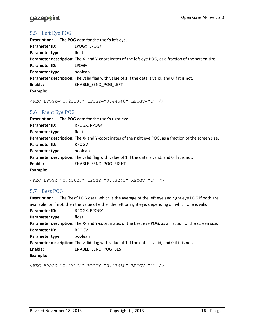# <span id="page-16-0"></span>5.5 Left Eye POG

| <b>Description:</b> | The POG data for the user's left eye.                                                                  |
|---------------------|--------------------------------------------------------------------------------------------------------|
| Parameter ID:       | LPOGX, LPOGY                                                                                           |
| Parameter type:     | float                                                                                                  |
|                     | Parameter description: The X- and Y-coordinates of the left eye POG, as a fraction of the screen size. |
| Parameter ID:       | <b>LPOGV</b>                                                                                           |
| Parameter type:     | boolean                                                                                                |
|                     | Parameter description: The valid flag with value of 1 if the data is valid, and 0 if it is not.        |
| Enable:             | ENABLE SEND POG LEFT                                                                                   |
| <b>Example:</b>     |                                                                                                        |

<REC LPOGX="0.21336" LPOGY="0.44548" LPOGV="1" />

# <span id="page-16-1"></span>5.6 Right Eye POG

| Description:           | The POG data for the user's right eye.                                                                  |
|------------------------|---------------------------------------------------------------------------------------------------------|
| Parameter ID:          | RPOGX, RPOGY                                                                                            |
| <b>Parameter type:</b> | float                                                                                                   |
|                        | Parameter description: The X- and Y-coordinates of the right eye POG, as a fraction of the screen size. |
| <b>Parameter ID:</b>   | <b>RPOGV</b>                                                                                            |
| <b>Parameter type:</b> | boolean                                                                                                 |
|                        | <b>Parameter description:</b> The valid flag with value of 1 if the data is valid, and 0 if it is not.  |
| Enable:                | ENABLE SEND POG RIGHT                                                                                   |
| Example:               |                                                                                                         |

<REC LPOGX="0.43623" LPOGY="0.53243" RPOGV="1" />

#### <span id="page-16-2"></span>5.7 Best POG

| <b>Description:</b>                                                                             | The 'best' POG data, which is the average of the left eye and right eye POG if both are                |
|-------------------------------------------------------------------------------------------------|--------------------------------------------------------------------------------------------------------|
|                                                                                                 | available, or if not, then the value of either the left or right eye, depending on which one is valid. |
| <b>Parameter ID:</b>                                                                            | <b>BPOGX, BPOGY</b>                                                                                    |
| Parameter type:                                                                                 | float                                                                                                  |
|                                                                                                 | Parameter description: The X- and Y-coordinates of the best eye POG, as a fraction of the screen size. |
| Parameter ID:                                                                                   | <b>BPOGV</b>                                                                                           |
| Parameter type:                                                                                 | boolean                                                                                                |
| Parameter description: The valid flag with value of 1 if the data is valid, and 0 if it is not. |                                                                                                        |
| Enable:                                                                                         | ENABLE SEND POG BEST                                                                                   |
| Example:                                                                                        |                                                                                                        |

<REC BPOGX="0.47175" BPOGY="0.43360" BPOGV="1" />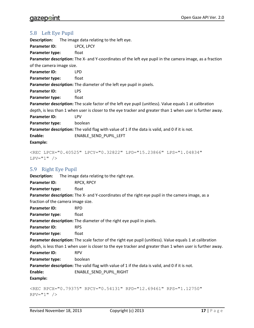#### <span id="page-17-0"></span>5.8 Left Eye Pupil

| <b>Description:</b>       | The image data relating to the left eye.                                                                   |
|---------------------------|------------------------------------------------------------------------------------------------------------|
| Parameter ID:             | LPCX, LPCY                                                                                                 |
| Parameter type:           | float                                                                                                      |
|                           | Parameter description: The X- and Y-coordinates of the left eye pupil in the camera image, as a fraction   |
| of the camera image size. |                                                                                                            |
| Parameter ID:             | <b>LPD</b>                                                                                                 |
| Parameter type:           | float                                                                                                      |
|                           | Parameter description: The diameter of the left eye pupil in pixels.                                       |
| Parameter ID:             | <b>LPS</b>                                                                                                 |
| Parameter type:           | float                                                                                                      |
|                           | Parameter description: The scale factor of the left eye pupil (unitless). Value equals 1 at calibration    |
|                           | depth, is less than 1 when user is closer to the eye tracker and greater than 1 when user is further away. |
| Parameter ID:             | <b>LPV</b>                                                                                                 |
| Parameter type:           | boolean                                                                                                    |
|                           | Parameter description: The valid flag with value of 1 if the data is valid, and 0 if it is not.            |
| Enable:                   | ENABLE SEND PUPIL LEFT                                                                                     |
| <b>Example:</b>           |                                                                                                            |
|                           |                                                                                                            |

```
<REC LPCX="0.40525" LPCY="0.32822" LPD="15.23866" LPS="1.04834" 
LPV = "1" />
```
# <span id="page-17-1"></span>5.9 Right Eye Pupil

**Description:** The image data relating to the right eye. **Parameter ID:** RPCX, RPCY **Parameter type:** float **Parameter description:** The X- and Y-coordinates of the right eye pupil in the camera image, as a fraction of the camera image size. **Parameter ID:** RPD **Parameter type:** float **Parameter description:** The diameter of the right eye pupil in pixels. **Parameter ID:** RPS **Parameter type:** float **Parameter description:** The scale factor of the right eye pupil (unitless). Value equals 1 at calibration depth, is less than 1 when user is closer to the eye tracker and greater than 1 when user is further away. **Parameter ID:** RPV Parameter type: boolean **Parameter description:** The valid flag with value of 1 if the data is valid, and 0 if it is not. Enable: ENABLE SEND PUPIL RIGHT **Example:**

```
<REC RPCX="0.79375" RPCY="0.54131" RPD="12.69461" RPS="1.12750" 
RPV="1" />
```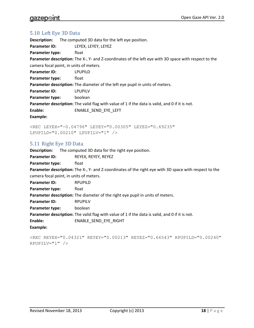#### <span id="page-18-0"></span>5.10 Left Eye 3D Data

**Description:** The computed 3D data for the left eye position. Parameter ID: LEYEX, LEYEY, LEYEZ **Parameter type:** float **Parameter description:** The X-, Y- and Z-coordinates of the left eye with 3D space with respect to the camera focal point, in units of meters. **Parameter ID:** LPUPILD **Parameter type:** float **Parameter description:** The diameter of the left eye pupil in units of meters. **Parameter ID:** LPUPILV Parameter type: boolean **Parameter description:** The valid flag with value of 1 if the data is valid, and 0 if it is not. **Enable:** ENABLE\_SEND\_EYE\_LEFT **Example:**

<REC LEYEX="-0.04796" LEYEY="0.00305" LEYEZ="0.69235" LPUPILD="0.00210" LPUPILV="1" />

#### <span id="page-18-1"></span>5.11 Right Eye 3D Data

**Description:** The computed 3D data for the right eye position. Parameter ID: REYEX, REYEY, REYEZ **Parameter type:** float **Parameter description:** The X-, Y- and Z-coordinates of the right eye with 3D space with respect to the camera focal point, in units of meters. **Parameter ID:** RPUPILD **Parameter type:** float **Parameter description:** The diameter of the right eye pupil in units of meters. **Parameter ID:** RPUPILV **Parameter type:** boolean **Parameter description:** The valid flag with value of 1 if the data is valid, and 0 if it is not. **Enable:** ENABLE\_SEND\_EYE\_RIGHT **Example:**

```
<REC REYEX="0.04321" REYEY="0.00213" REYEZ="0.66543" RPUPILD="0.00240" 
RPUPILV="1" />
```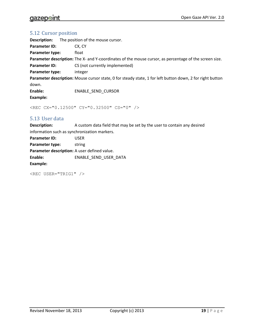# **gazepoint**

#### <span id="page-19-0"></span>5.12 Cursor position

| Description:         | The position of the mouse cursor.                                                                         |
|----------------------|-----------------------------------------------------------------------------------------------------------|
| <b>Parameter ID:</b> | CX. CY                                                                                                    |
| Parameter type:      | float                                                                                                     |
|                      | Parameter description: The X- and Y-coordinates of the mouse cursor, as percentage of the screen size.    |
| <b>Parameter ID:</b> | CS (not currently implemented)                                                                            |
| Parameter type:      | integer                                                                                                   |
|                      | Parameter description: Mouse cursor state, 0 for steady state, 1 for left button down, 2 for right button |
| down.                |                                                                                                           |
| Enable:              | ENABLE SEND CURSOR                                                                                        |
| Example:             |                                                                                                           |

<REC CX="0.12500" CY="0.32500" CS="0" />

#### <span id="page-19-1"></span>5.13 User data

**Description:** A custom data field that may be set by the user to contain any desired information such as synchronization markers.

| Parameter ID:                                | USER                  |
|----------------------------------------------|-----------------------|
| Parameter type:                              | string                |
| Parameter description: A user defined value. |                       |
| Enable:                                      | ENABLE SEND USER DATA |
| Example:                                     |                       |

<REC USER="TRIG1" />